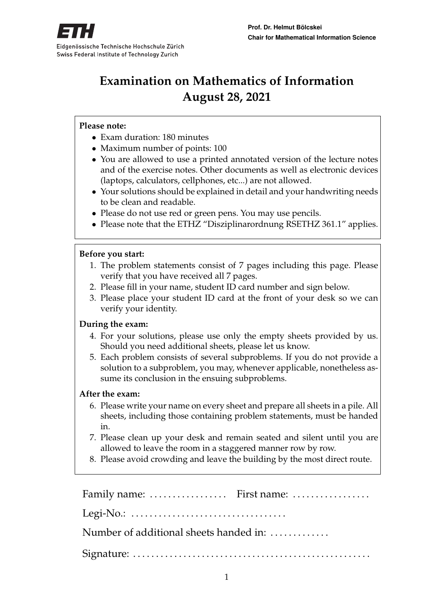

# **Examination on Mathematics of Information August 28, 2021**

#### **Please note:**

- Exam duration: 180 minutes
- Maximum number of points: 100
- You are allowed to use a printed annotated version of the lecture notes and of the exercise notes. Other documents as well as electronic devices (laptops, calculators, cellphones, etc...) are not allowed.
- Your solutions should be explained in detail and your handwriting needs to be clean and readable.
- Please do not use red or green pens. You may use pencils.
- Please note that the ETHZ "Disziplinarordnung RSETHZ 361.1" applies.

#### **Before you start:**

- 1. The problem statements consist of 7 pages including this page. Please verify that you have received all 7 pages.
- 2. Please fill in your name, student ID card number and sign below.
- 3. Please place your student ID card at the front of your desk so we can verify your identity.

#### **During the exam:**

- 4. For your solutions, please use only the empty sheets provided by us. Should you need additional sheets, please let us know.
- 5. Each problem consists of several subproblems. If you do not provide a solution to a subproblem, you may, whenever applicable, nonetheless assume its conclusion in the ensuing subproblems.

#### **After the exam:**

- 6. Please write your name on every sheet and prepare all sheets in a pile. All sheets, including those containing problem statements, must be handed in.
- 7. Please clean up your desk and remain seated and silent until you are allowed to leave the room in a staggered manner row by row.
- 8. Please avoid crowding and leave the building by the most direct route.

Family name: ................... First name: ................... Legi-No.: . . . . . . . . . . . . . . . . . . . . . . . . . . . . . . . . . . Number of additional sheets handed in: ............ Signature: . . . . . . . . . . . . . . . . . . . . . . . . . . . . . . . . . . . . . . . . . . . . . . . . . . . .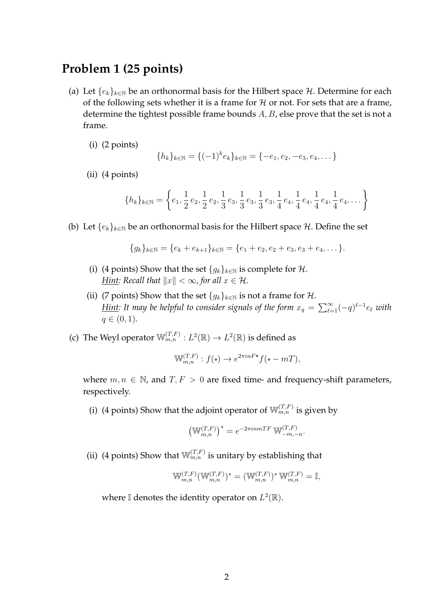# **Problem 1 (25 points)**

- (a) Let  $\{e_k\}_{k\in\mathbb{N}}$  be an orthonormal basis for the Hilbert space H. Determine for each of the following sets whether it is a frame for  $H$  or not. For sets that are a frame, determine the tightest possible frame bounds  $A, B$ , else prove that the set is not a frame.
	- (i) (2 points)

$$
\{h_k\}_{k \in \mathbb{N}} = \{(-1)^k e_k\}_{k \in \mathbb{N}} = \{-e_1, e_2, -e_3, e_4, \dots\}
$$

(ii) (4 points)

$$
\{h_k\}_{k\in\mathbb{N}} = \left\{e_1, \frac{1}{2}e_2, \frac{1}{2}e_2, \frac{1}{3}e_3, \frac{1}{3}e_3, \frac{1}{3}e_3, \frac{1}{4}e_4, \frac{1}{4}e_4, \frac{1}{4}e_4, \frac{1}{4}e_4, \dots\right\}
$$

(b) Let  $\{e_k\}_{k\in\mathbb{N}}$  be an orthonormal basis for the Hilbert space H. Define the set

$$
\{g_k\}_{k\in\mathbb{N}}=\{e_k+e_{k+1}\}_{k\in\mathbb{N}}=\{e_1+e_2,e_2+e_3,e_3+e_4,\ldots\}.
$$

- (i) (4 points) Show that the set  $\{g_k\}_{k\in\mathbb{N}}$  is complete for  $\mathcal{H}$ . *Hint:* Recall that  $||x|| < \infty$ , for all  $x \in \mathcal{H}$ .
- (ii) (7 points) Show that the set  $\{g_k\}_{k\in\mathbb{N}}$  is not a frame for  $\mathcal{H}$ . <u>*Hint: It may be helpful to consider signals of the form*  $x_q = \sum_{\ell=1}^{\infty} (-q)^{\ell-1} e_{\ell}$  *with*</u>  $q \in (0, 1)$ .
- (c) The Weyl operator  $\mathbb{W}_{m,n}^{(T,F)}: L^2(\mathbb{R}) \to L^2(\mathbb{R})$  is defined as

$$
\mathbb{W}_{m,n}^{(T,F)}: f(\cdot) \to e^{2\pi i n F \cdot \tau} f(\cdot - mT),
$$

where  $m, n \in \mathbb{N}$ , and  $T, F > 0$  are fixed time- and frequency-shift parameters, respectively.

(i) (4 points) Show that the adjoint operator of  $\mathbb{W}_{m,n}^{(T,F)}$  is given by

$$
\left(\mathbb{W}_{m,n}^{(T,F)}\right)^* = e^{-2\pi i n mTF} \mathbb{W}_{-m,-n}^{(T,F)}.
$$

(ii) (4 points) Show that  $\mathbb{W}_{m,n}^{(T,F)}$  is unitary by establishing that

$$
\mathbb{W}_{m,n}^{(T,F)}(\mathbb{W}_{m,n}^{(T,F)})^* = (\mathbb{W}_{m,n}^{(T,F)})^* \mathbb{W}_{m,n}^{(T,F)} = \mathbb{I},
$$

where I denotes the identity operator on  $L^2(\mathbb{R})$ .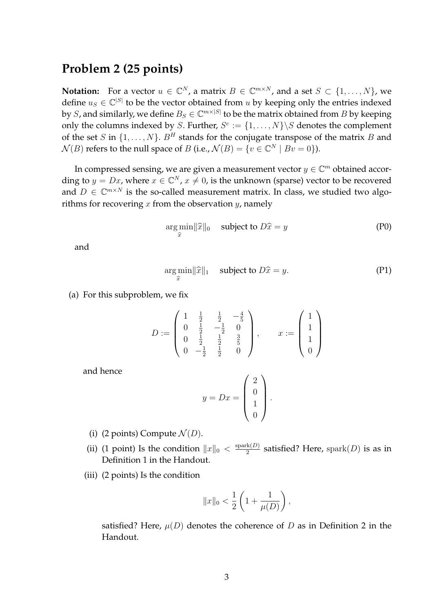# **Problem 2 (25 points)**

**Notation:** For a vector  $u \in \mathbb{C}^N$ , a matrix  $B \in \mathbb{C}^{m \times N}$ , and a set  $S \subset \{1, \ldots, N\}$ , we define  $u_S \in \mathbb{C}^{|S|}$  to be the vector obtained from u by keeping only the entries indexed by S, and similarly, we define  $B_S \in \mathbb{C}^{m \times |S|}$  to be the matrix obtained from  $B$  by keeping only the columns indexed by S. Further,  $S^c := \{1, \ldots, N\} \backslash S$  denotes the complement of the set S in  $\{1, \ldots, N\}$ .  $B<sup>H</sup>$  stands for the conjugate transpose of the matrix B and  $\mathcal{N}(B)$  refers to the null space of B (i.e.,  $\mathcal{N}(B) = \{v \in \mathbb{C}^N \mid Bv = 0\}$ ).

In compressed sensing, we are given a measurement vector  $y \in \mathbb{C}^m$  obtained according to  $y = Dx$ , where  $x \in \mathbb{C}^N$ ,  $x \neq 0$ , is the unknown (sparse) vector to be recovered and  $D \in \mathbb{C}^{m \times N}$  is the so-called measurement matrix. In class, we studied two algorithms for recovering  $x$  from the observation  $y$ , namely

$$
\underset{\hat{x}}{\arg\min} ||\hat{x}||_0 \quad \text{subject to } D\hat{x} = y \tag{P0}
$$

and

$$
\underset{\hat{x}}{\arg\min} \|\hat{x}\|_1 \quad \text{subject to } D\hat{x} = y. \tag{P1}
$$

(a) For this subproblem, we fix

$$
D := \begin{pmatrix} 1 & \frac{1}{2} & \frac{1}{2} & -\frac{4}{5} \\ 0 & \frac{1}{2} & -\frac{1}{2} & 0 \\ 0 & \frac{1}{2} & \frac{1}{2} & \frac{3}{5} \\ 0 & -\frac{1}{2} & \frac{1}{2} & 0 \end{pmatrix}, \qquad x := \begin{pmatrix} 1 \\ 1 \\ 1 \\ 0 \end{pmatrix}
$$

and hence

$$
y = Dx = \begin{pmatrix} 2 \\ 0 \\ 1 \\ 0 \end{pmatrix}.
$$

- (i) (2 points) Compute  $\mathcal{N}(D)$ .
- (ii) (1 point) Is the condition  $||x||_0 < \frac{\text{spark}(D)}{2}$  $\frac{\text{rk}(D)}{2}$  satisfied? Here,  $\text{spark}(D)$  is as in Definition 1 in the Handout.
- (iii) (2 points) Is the condition

$$
||x||_0 < \frac{1}{2} \left( 1 + \frac{1}{\mu(D)} \right),
$$

satisfied? Here,  $\mu(D)$  denotes the coherence of D as in Definition 2 in the Handout.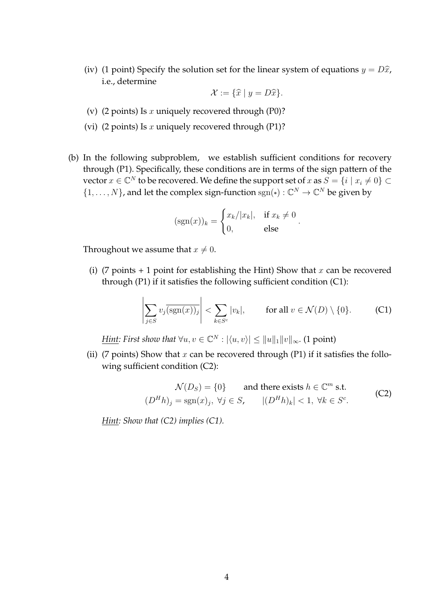(iv) (1 point) Specify the solution set for the linear system of equations  $y = D\hat{x}$ , i.e., determine

$$
\mathcal{X} := \{ \widehat{x} \mid y = D\widehat{x} \}.
$$

- (v) (2 points) Is x uniquely recovered through (P0)?
- (vi) (2 points) Is x uniquely recovered through (P1)?
- (b) In the following subproblem, we establish sufficient conditions for recovery through (P1). Specifically, these conditions are in terms of the sign pattern of the vector  $x \in \mathbb{C}^N$  to be recovered. We define the support set of  $x$  as  $S = \{i \mid x_i \neq 0\} \subset$  $\{1,\ldots,N\}$ , and let the complex sign-function sgn( $\cdot$ ) :  $\mathbb{C}^N \to \mathbb{C}^N$  be given by

$$
(\operatorname{sgn}(x))_k = \begin{cases} x_k/|x_k|, & \text{if } x_k \neq 0 \\ 0, & \text{else} \end{cases}.
$$

Throughout we assume that  $x \neq 0$ .

(i) (7 points  $+1$  point for establishing the Hint) Show that x can be recovered through (P1) if it satisfies the following sufficient condition (C1):

$$
\left|\sum_{j\in S} v_j \overline{\left(\text{sgn}(x)\right)_j}\right| < \sum_{k\in S^c} |v_k|, \qquad \text{for all } v \in \mathcal{N}(D) \setminus \{0\}. \tag{C1}
$$

*<u>Hint</u>: First show that*  $\forall u, v \in \mathbb{C}^N : |\langle u, v \rangle| \le ||u||_1 ||v||_{\infty}$ . (1 point)

(ii) (7 points) Show that x can be recovered through (P1) if it satisfies the following sufficient condition (C2):

$$
\mathcal{N}(D_S) = \{0\} \qquad \text{and there exists } h \in \mathbb{C}^m \text{ s.t.}
$$
\n
$$
(D^H h)_j = \text{sgn}(x)_j, \ \forall j \in S, \qquad |(D^H h)_k| < 1, \ \forall k \in S^c.
$$
\n(C2)

*Hint: Show that (C2) implies (C1).*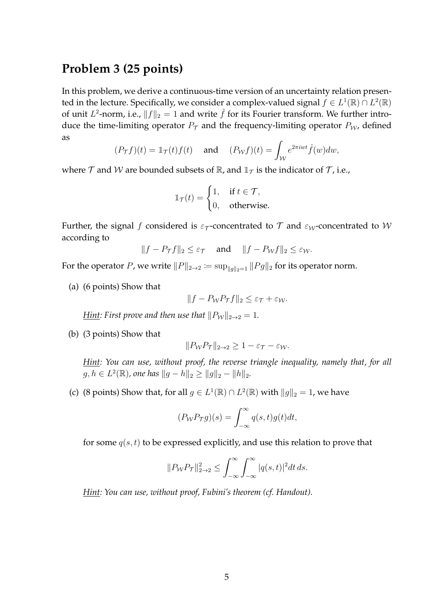# **Problem 3 (25 points)**

In this problem, we derive a continuous-time version of an uncertainty relation presented in the lecture. Specifically, we consider a complex-valued signal  $f \in L^1(\mathbb{R}) \cap L^2(\mathbb{R})$ of unit  $L^2$ -norm, i.e.,  $||f||_2 = 1$  and write  $\hat{f}$  for its Fourier transform. We further introduce the time-limiting operator  $P_T$  and the frequency-limiting operator  $P_W$ , defined as

$$
(P_{\mathcal{T}}f)(t) = \mathbb{1}_{\mathcal{T}}(t)f(t) \quad \text{ and } \quad (P_{\mathcal{W}}f)(t) = \int_{\mathcal{W}} e^{2\pi iwt} \hat{f}(w) dw,
$$

where  $\mathcal T$  and  $\mathcal W$  are bounded subsets of  $\mathbb R$ , and  $\mathbb 1_{\mathcal T}$  is the indicator of  $\mathcal T$ , i.e.,

$$
\mathbb{1}_{\mathcal{T}}(t) = \begin{cases} 1, & \text{if } t \in \mathcal{T}, \\ 0, & \text{otherwise.} \end{cases}
$$

Further, the signal f considered is  $\varepsilon_{\tau}$ -concentrated to  $\tau$  and  $\varepsilon_{W}$ -concentrated to W according to

$$
||f - P_{\tau}f||_2 \le \varepsilon_{\tau}
$$
 and  $||f - P_{\mathcal{W}}f||_2 \le \varepsilon_{\mathcal{W}}$ .

For the operator  $P$ , we write  $\|P\|_{2\to 2}\coloneqq \sup_{\|g\|_2=1} \|Pg\|_2$  for its operator norm.

(a) (6 points) Show that

$$
||f - P_{\mathcal{W}}P_{\mathcal{T}}f||_2 \le \varepsilon_{\mathcal{T}} + \varepsilon_{\mathcal{W}}.
$$

*Hint: First prove and then use that*  $||P_W||_{2\to 2} = 1$ *.* 

(b) (3 points) Show that

$$
||P_{\mathcal{W}}P_{\mathcal{T}}||_{2\to 2} \ge 1 - \varepsilon_{\mathcal{T}} - \varepsilon_{\mathcal{W}}.
$$

*Hint: You can use, without proof, the reverse triangle inequality, namely that, for all*  $g, h \in L^2(\mathbb{R})$ , one has  $||g - h||_2 \ge ||g||_2 - ||h||_2$ .

(c) (8 points) Show that, for all  $g \in L^1(\mathbb{R}) \cap L^2(\mathbb{R})$  with  $||g||_2 = 1$ , we have

$$
(P_{\mathcal{W}}P_{\mathcal{T}}g)(s) = \int_{-\infty}^{\infty} q(s,t)g(t)dt,
$$

for some  $q(s, t)$  to be expressed explicitly, and use this relation to prove that

$$
||P_{\mathcal{W}}P_{\mathcal{T}}||_{2\to 2}^2 \le \int_{-\infty}^{\infty} \int_{-\infty}^{\infty} |q(s,t)|^2 dt ds.
$$

*Hint: You can use, without proof, Fubini's theorem (cf. Handout).*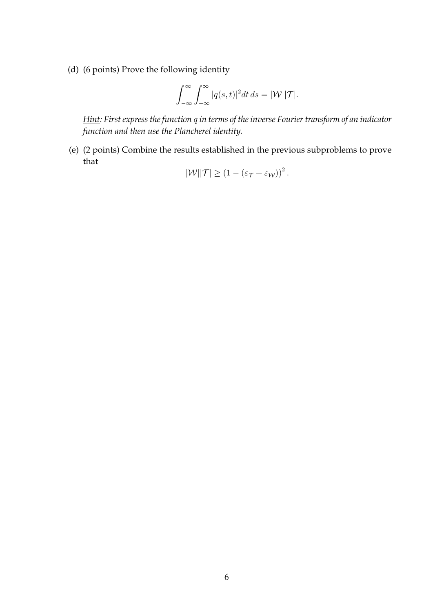(d) (6 points) Prove the following identity

$$
\int_{-\infty}^{\infty} \int_{-\infty}^{\infty} |q(s,t)|^2 dt ds = |\mathcal{W}||\mathcal{T}|.
$$

*Hint: First express the function* q *in terms of the inverse Fourier transform of an indicator function and then use the Plancherel identity.*

(e) (2 points) Combine the results established in the previous subproblems to prove that

$$
|\mathcal{W}||\mathcal{T}| \geq (1 - (\varepsilon_{\mathcal{T}} + \varepsilon_{\mathcal{W}}))^2.
$$